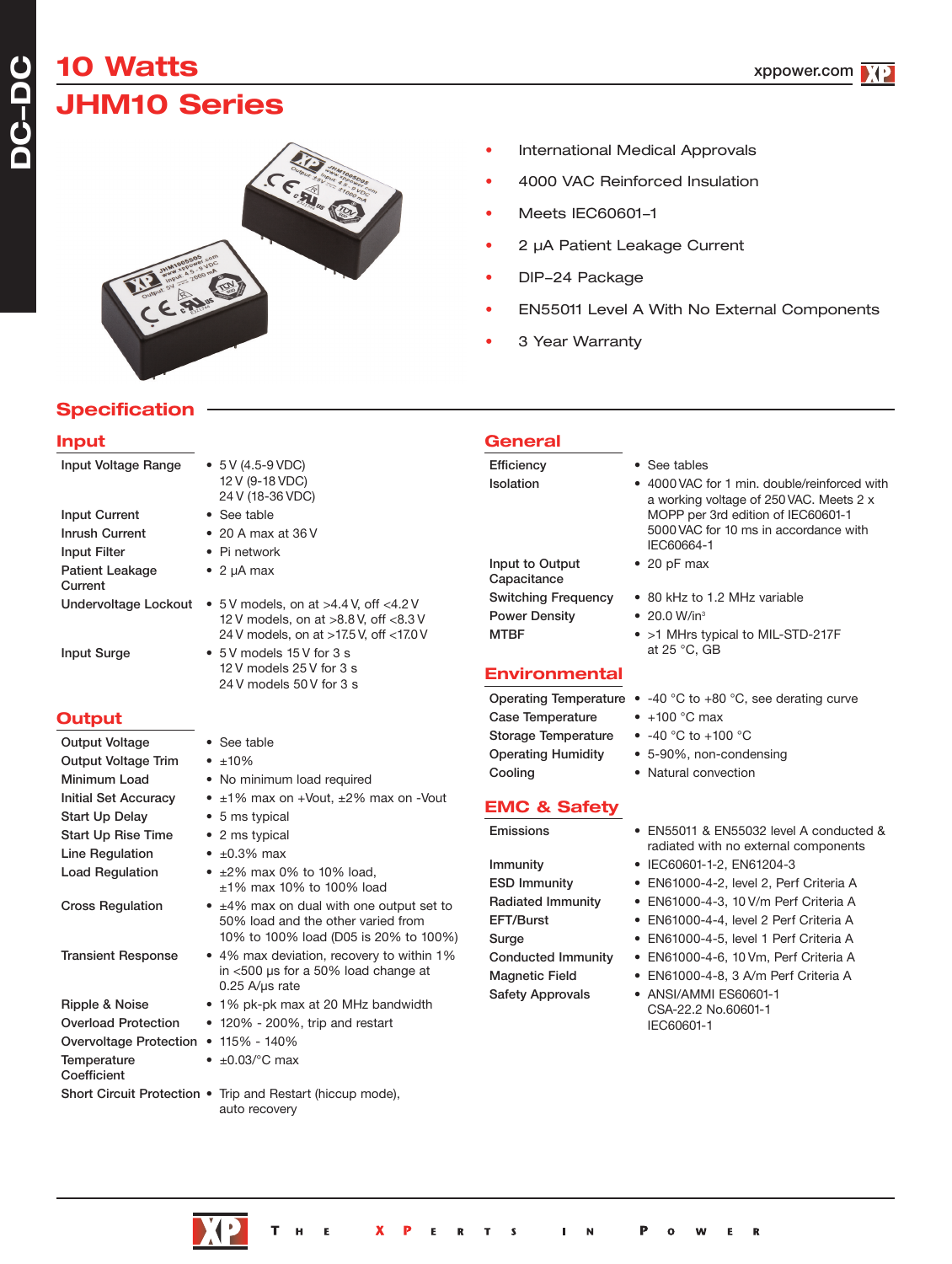# **10 Watts JHM10 Series**



### • International Medical Approvals

- 4000 VAC Reinforced Insulation
- Meets IEC60601-1
- 2 µA Patient Leakage Current
- DIP-24 Package
- EN55011 Level A With No External Components
- 3 Year Warranty

**General**

## **Specification**

#### **Input**

**DC-DC**

| Input Voltage Range                  | $\bullet$ 5 V (4.5-9 VDC)<br>12 V (9-18 VDC)<br>24 V (18-36 VDC)                                           | Efficiency<br>Isolation                                                       | • See tables<br>• 4000 VAC for 1 min. double/reinforced with<br>a working voltage of 250 VAC. Meets 2 x |
|--------------------------------------|------------------------------------------------------------------------------------------------------------|-------------------------------------------------------------------------------|---------------------------------------------------------------------------------------------------------|
| <b>Input Current</b>                 | • See table                                                                                                |                                                                               | MOPP per 3rd edition of IEC60601-1                                                                      |
| <b>Inrush Current</b>                | $\bullet$ 20 A max at 36 V                                                                                 |                                                                               | 5000 VAC for 10 ms in accordance with<br>IEC60664-1                                                     |
| <b>Input Filter</b>                  | • Pi network                                                                                               | Input to Output                                                               | $\bullet$ 20 pF max                                                                                     |
| <b>Patient Leakage</b><br>Current    | $\bullet$ 2 µA max                                                                                         | Capacitance                                                                   |                                                                                                         |
|                                      | Undervoltage Lockout $\bullet$ 5V models, on at >4.4V, off <4.2V                                           | <b>Switching Frequency</b>                                                    | • 80 kHz to 1.2 MHz variable                                                                            |
|                                      | 12 V models, on at >8.8 V, off <8.3 V                                                                      | <b>Power Density</b>                                                          | • 20.0 W/in <sup>3</sup>                                                                                |
| <b>Input Surge</b>                   | 24 V models, on at >17.5 V, off <17.0 V<br>• 5 V models 15 V for 3 s                                       | <b>MTBF</b>                                                                   | • >1 MHrs typical to MIL-STD-217F<br>at 25 °C, GB                                                       |
|                                      | 12 V models 25 V for 3 s<br>24 V models 50 V for 3 s                                                       | <b>Environmental</b>                                                          |                                                                                                         |
|                                      |                                                                                                            |                                                                               | Operating Temperature $\bullet$ -40 °C to +80 °C, see derating curve                                    |
| <b>Output</b>                        |                                                                                                            | <b>Case Temperature</b>                                                       | $\bullet$ +100 °C max                                                                                   |
| <b>Output Voltage</b>                | • See table                                                                                                | Storage Temperature                                                           | • $-40$ °C to $+100$ °C                                                                                 |
| <b>Output Voltage Trim</b>           | $\cdot$ $\pm 10\%$                                                                                         | <b>Operating Humidity</b>                                                     | • 5-90%, non-condensing                                                                                 |
| Minimum Load                         | • No minimum load required                                                                                 | Cooling                                                                       | • Natural convection                                                                                    |
| <b>Initial Set Accuracy</b>          | $\bullet$ ±1% max on +Vout, ±2% max on -Vout                                                               | <b>EMC &amp; Safety</b>                                                       |                                                                                                         |
| <b>Start Up Delay</b>                | • 5 ms typical                                                                                             |                                                                               |                                                                                                         |
| <b>Start Up Rise Time</b>            | • 2 ms typical                                                                                             | Emissions                                                                     | • EN55011 & EN55032 level A conducted &<br>radiated with no external components                         |
| <b>Line Regulation</b>               | $\bullet$ $\pm 0.3\%$ max                                                                                  | Immunity                                                                      | • IEC60601-1-2, EN61204-3                                                                               |
| <b>Load Regulation</b>               | $\cdot$ ±2% max 0% to 10% load.<br>±1% max 10% to 100% load                                                | <b>ESD Immunity</b>                                                           | • EN61000-4-2, level 2, Perf Criteria A                                                                 |
| <b>Cross Regulation</b>              | • ±4% max on dual with one output set to                                                                   | Radiated Immunity                                                             | • EN61000-4-3, 10 V/m Perf Criteria A                                                                   |
|                                      | 50% load and the other varied from<br>10% to 100% load (D05 is 20% to 100%)                                | EFT/Burst<br>Surge                                                            | • EN61000-4-4, level 2 Perf Criteria A<br>• EN61000-4-5, level 1 Perf Criteria A                        |
| <b>Transient Response</b>            | • 4% max deviation, recovery to within 1%<br>in <500 µs for a 50% load change at<br>$0.25$ A/ $\mu$ s rate | <b>Conducted Immunity</b><br><b>Magnetic Field</b><br><b>Safety Approvals</b> | • EN61000-4-6, 10 Vm, Perf Criteria A<br>• EN61000-4-8, 3 A/m Perf Criteria A<br>• ANSI/AMMI ES60601-1  |
| Ripple & Noise                       | • 1% pk-pk max at 20 MHz bandwidth                                                                         |                                                                               | CSA-22.2 No.60601-1                                                                                     |
| <b>Overload Protection</b>           | $\bullet$ 120% - 200%, trip and restart                                                                    |                                                                               | IEC60601-1                                                                                              |
| Overvoltage Protection • 115% - 140% |                                                                                                            |                                                                               |                                                                                                         |
| Temperature<br>Coefficient           | $\bullet$ ±0.03/ $\degree$ C max                                                                           |                                                                               |                                                                                                         |
|                                      | Short Circuit Protection . Trip and Restart (hiccup mode),<br>auto recovery                                |                                                                               |                                                                                                         |

- -40 °C to +80 °C, see derating curve
- +100 $^{\circ}$ C max
- -40 °C to +100 °C
- 5-90%, non-condensing
- Natural convection
- EN55011 & EN55032 level A conducted & radiated with no external components
- IEC60601-1-2, EN61204-3
- EN61000-4-2, level 2, Perf Criteria A
- EN61000-4-3, 10 V/m Perf Criteria A
- EN61000-4-4, level 2 Perf Criteria A
- EN61000-4-5, level 1 Perf Criteria A
- EN61000-4-6, 10 Vm, Perf Criteria A
- EN61000-4-8, 3 A/m Perf Criteria A
- ANSI/AMMI ES60601-1 CSA-22.2 No.60601-1 IEC60601-1